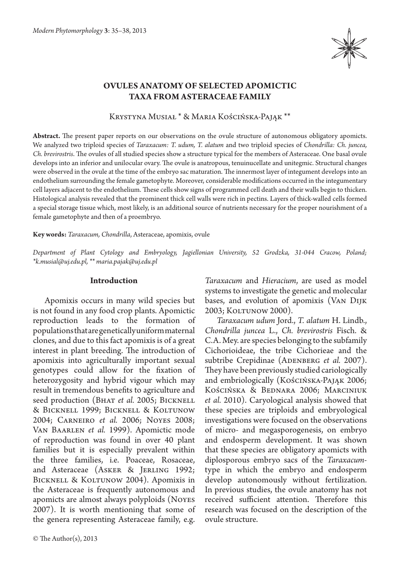

# **Ovules anatomy of selected apomictic taxa from Asteraceae family**

Krystyna Musiał \* & Maria Kościńska-Pająk \*\*

**Abstract.** The present paper reports on our observations on the ovule structure of autonomous obligatory apomicts. We analyzed two triploid species of *Taraxacum: T. udum, T. alatum* and two triploid species of *Chondrilla: Ch. juncea, Ch. brevirostris*. The ovules of all studied species show a structure typical for the members of Asteraceae. One basal ovule develops into an inferior and unilocular ovary. The ovule is anatropous, tenuinucellate and unitegmic. Structural changes were observed in the ovule at the time of the embryo sac maturation. The innermost layer of integument develops into an endothelium surrounding the female gametophyte. Moreover, considerable modifications occurred in the integumentary cell layers adjacent to the endothelium. These cells show signs of programmed cell death and their walls begin to thicken. Histological analysis revealed that the prominent thick cell walls were rich in pectins. Layers of thick-walled cells formed a special storage tissue which, most likely, is an additional source of nutrients necessary for the proper nourishment of a female gametophyte and then of a proembryo.

**Key words:** *Taraxacum, Chondrilla*, Asteraceae, apomixis, ovule

*Department of Plant Cytology and Embryology, Jagiellonian University, 52 Grodzka, 31-044 Cracow, Poland; \*k.musial@uj.edu.pl, \*\* maria.pajak@uj.edu.pl*

## **Introduction**

Apomixis occurs in many wild species but is not found in any food crop plants. Apomictic reproduction leads to the formation of populations that are genetically uniform maternal clones, and due to this fact apomixis is of a great interest in plant breeding. The introduction of apomixis into agriculturally important sexual genotypes could allow for the fixation of heterozygosity and hybrid vigour which may result in tremendous benefits to agriculture and seed production (BHAT *et al.* 2005; BICKNELL & Bicknell 1999; Bicknell & Koltunow 2004; Carneiro *et al.* 2006; Noyes 2008; Van Baarlen *et al.* 1999). Apomictic mode of reproduction was found in over 40 plant families but it is especially prevalent within the three families, i.e. Poaceae, Rosaceae, and Asteraceae (ASKER & JERLING 1992; BICKNELL & KOLTUNOW 2004). Apomixis in the Asteraceae is frequently autonomous and apomicts are almost always polyploids (Noyes 2007). It is worth mentioning that some of the genera representing Asteraceae family, e.g.

© The Author(s), 2013

*Taraxacum* and *Hieracium*, are used as model systems to investigate the genetic and molecular bases, and evolution of apomixis (Van Dijk 2003; KOLTUNOW 2000).

*Taraxacum udum* Jord., *T. alatum* H. Lindb., *Chondrilla juncea* L., *Ch. brevirostris* Fisch. & C.A. Mey. are species belonging to the subfamily Cichorioideae, the tribe Cichorieae and the subtribe Crepidinae (ADENBERG *et al.* 2007). They have been previously studied cariologically and embriologically (Kościńska-Pająk 2006; Kościńska & Bednara 2006; Marciniuk *et al.* 2010). Caryological analysis showed that these species are triploids and embryological investigations were focused on the observations of micro- and megasporogenesis, on embryo and endosperm development. It was shown that these species are obligatory apomicts with diplosporous embryo sacs of the *Taraxacum*type in which the embryo and endosperm develop autonomously without fertilization. In previous studies, the ovule anatomy has not received sufficient attention. Therefore this research was focused on the description of the ovule structure.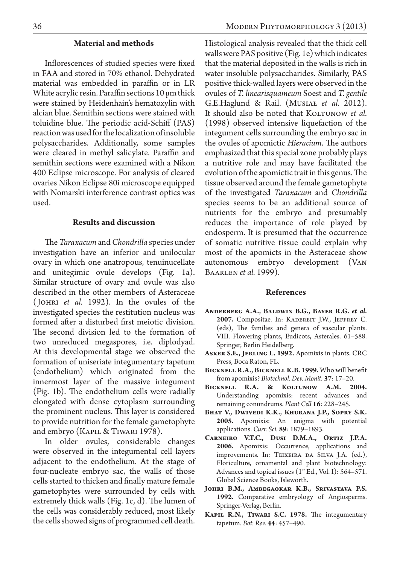#### **Material and methods**

Inflorescences of studied species were fixed in FAA and stored in 70% ethanol. Dehydrated material was embedded in paraffin or in LR White acrylic resin. Paraffin sections 10 μm thick were stained by Heidenhain's hematoxylin with alcian blue. Semithin sections were stained with toluidine blue. The periodic acid-Schiff (PAS) reaction was used for the localization of insoluble polysaccharides. Additionally, some samples were cleared in methyl salicylate. Paraffin and semithin sections were examined with a Nikon 400 Eclipse microscope. For analysis of cleared ovaries Nikon Eclipse 80i microscope equipped with Nomarski interference contrast optics was used.

# **Results and discussion**

The *Taraxacum* and *Chondrilla* species under investigation have an inferior and unilocular ovary in which one anatropous, tenuinucellate and unitegimic ovule develops (Fig. 1a). Similar structure of ovary and ovule was also described in the other members of Asteraceae ( Johri *et al.* 1992). In the ovules of the investigated species the restitution nucleus was formed after a disturbed first meiotic division. The second division led to the formation of two unreduced megaspores, i.e. diplodyad. At this developmental stage we observed the formation of uniseriate integumentary tapetum (endothelium) which originated from the innermost layer of the massive integument (Fig. 1b). The endothelium cells were radially elongated with dense cytoplasm surrounding the prominent nucleus. This layer is considered to provide nutrition for the female gametophyte and embryo (Kapil & Tiwari 1978).

In older ovules, considerable changes were observed in the integumental cell layers adjacent to the endothelium. At the stage of four-nucleate embryo sac, the walls of those cells started to thicken and finally mature female gametophytes were surrounded by cells with extremely thick walls (Fig. 1c, d). The lumen of the cells was considerably reduced, most likely the cells showed signs of programmed cell death.

Histological analysis revealed that the thick cell walls were PAS positive (Fig. 1e) which indicates that the material deposited in the walls is rich in water insoluble polysaccharides. Similarly, PAS positive thick-walled layers were observed in the ovules of *T. linearisquameum* Soest and *T. gentile* G.E.Haglund & Rail. (Musiał *et al.*  2012). It should also be noted that KOLTUNOW et al. (1998) observed intensive liquefaction of the integument cells surrounding the embryo sac in the ovules of apomictic *Hieracium*. The authors emphasized that this special zone probably plays a nutritive role and may have facilitated the evolution of the apomictic trait in this genus. The tissue observed around the female gametophyte of the investigated *Taraxacum* and *Chondrilla* species seems to be an additional source of nutrients for the embryo and presumably reduces the importance of role played by endosperm. It is presumed that the occurrence of somatic nutritive tissue could explain why most of the apomicts in the Asteraceae show autonomous embryo development (Van Baarlen *et al.* 1999).

## **References**

- ANDERBERG A.A., BALDWIN B.G., BAYER R.G. et al. **2007.** Compositae. In: Kadereit J.W., Jeffrey C. (eds), The families and genera of vascular plants. VIII. Flowering plants, Eudicots, Asterales. 61–588. Springer, Berlin Heidelberg.
- **Asker S.E., Jerling L. 1992.** Apomixis in plants. CRC Press, Boca Raton, FL.
- **Bicknell R.A., Bicknell K.B. 1999.** Who will benefit from apomixis? *Biotechnol. Dev. Monit.* **37**: 17–20.
- **Bicknell R.A. & Koltunow A.M. 2004.**  Understanding apomixis: recent advances and remaining conundrums. *Plant Cell* **16**: 228–245.
- **Bhat V., Dwivedi K.K., Khurana J.P., Sopry S.K. 2005.** Apomixis: An enigma with potential applications. *Curr. Sci.* **89**: 1879–1893.
- CARNEIRO V.T.C., DUSI D.M.A., ORTIZ J.P.A. **2006.** Apomixis: Occurrence, applications and improvements. In: Teixeira da Silva J.A. (ed.), Floriculture, ornamental and plant biotechnology: Advances and topical issues  $(1<sup>st</sup> Ed., Vol. I): 564–571.$ Global Science Books, Isleworth.
- **Johri B.M., Ambegaokar K.B., Srivastava P.S. 1992.** Comparative embryology of Angiosperms. Springer-Verlag, Berlin.
- **Kapil R.N., Tiwari S.C. 1978.** The integumentary tapetum. *Bot. Rev.* **44**: 457–490.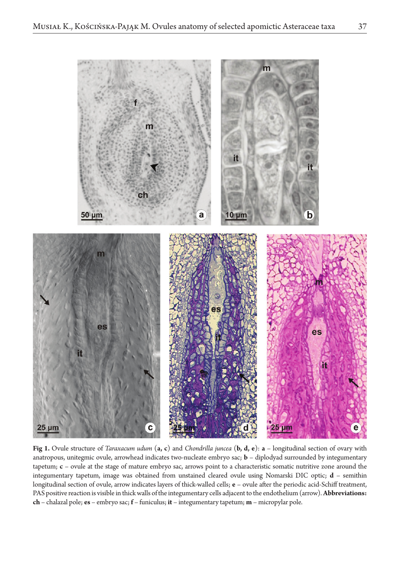

**Fig 1.** Ovule structure of *Taraxacum udum* (**a, c**) and *Chondrilla juncea* (**b, d, e**): **a** – longitudinal section of ovary with anatropous, unitegmic ovule, arrowhead indicates two-nucleate embryo sac; **b** – diplodyad surrounded by integumentary tapetum; **c** – ovule at the stage of mature embryo sac, arrows point to a characteristic somatic nutritive zone around the integumentary tapetum, image was obtained from unstained cleared ovule using Nomarski DIC optic; **d** – semithin longitudinal section of ovule, arrow indicates layers of thick-walled cells; **e** – ovule after the periodic acid-Schiff treatment, PAS positive reaction is visible in thick walls of the integumentary cells adjacent to the endothelium (arrow). **Abbreviations: ch** – chalazal pole; **es** – embryo sac; **f** – funiculus; **it** – integumentary tapetum; **m** – micropylar pole.